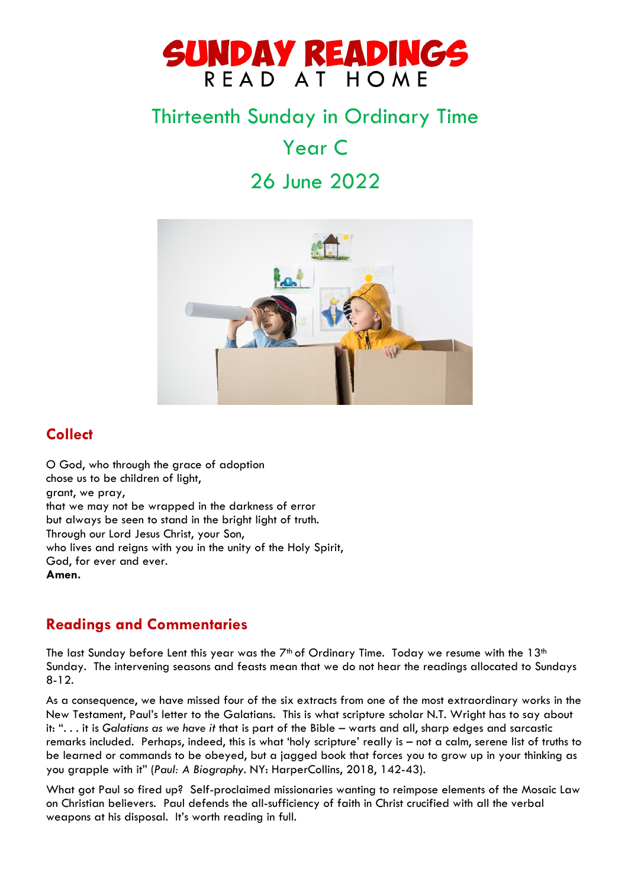

# Thirteenth Sunday in Ordinary Time

Year C

# 26 June 2022



# **Collect**

O God, who through the grace of adoption chose us to be children of light, grant, we pray, that we may not be wrapped in the darkness of error but always be seen to stand in the bright light of truth. Through our Lord Jesus Christ, your Son, who lives and reigns with you in the unity of the Holy Spirit, God, for ever and ever. **Amen.**

# **Readings and Commentaries**

The last Sunday before Lent this year was the  $7<sup>th</sup>$  of Ordinary Time. Today we resume with the 13<sup>th</sup> Sunday. The intervening seasons and feasts mean that we do not hear the readings allocated to Sundays 8-12.

As a consequence, we have missed four of the six extracts from one of the most extraordinary works in the New Testament, Paul's letter to the Galatians. This is what scripture scholar N.T. Wright has to say about it: ". . . it is *Galatians as we have it* that is part of the Bible – warts and all, sharp edges and sarcastic remarks included. Perhaps, indeed, this is what 'holy scripture' really is – not a calm, serene list of truths to be learned or commands to be obeyed, but a jagged book that forces you to grow up in your thinking as you grapple with it" (*Paul: A Biography*. NY: HarperCollins, 2018, 142-43).

What got Paul so fired up? Self-proclaimed missionaries wanting to reimpose elements of the Mosaic Law on Christian believers. Paul defends the all-sufficiency of faith in Christ crucified with all the verbal weapons at his disposal. It's worth reading in full.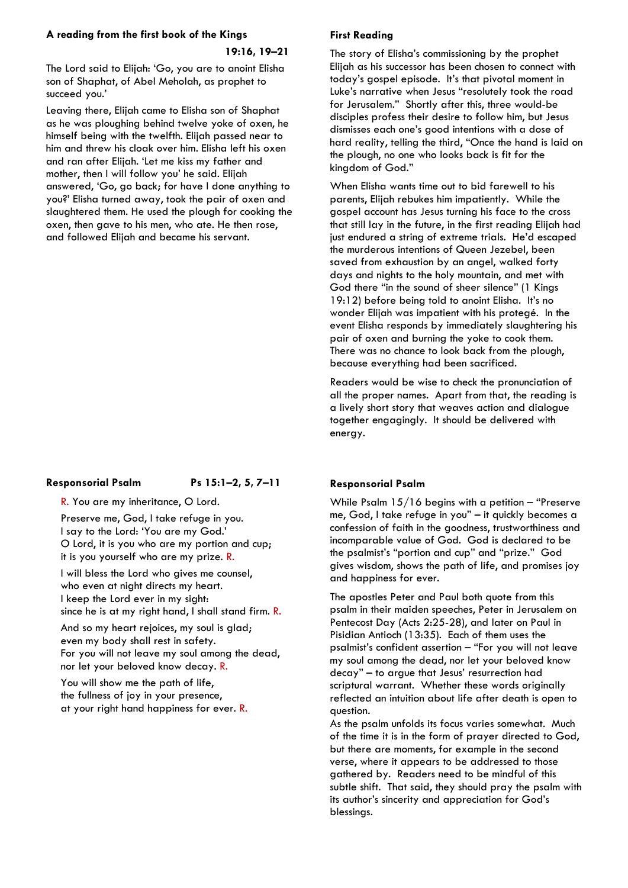#### **A reading from the first book of the Kings**

#### **19:16, 19–21**

The Lord said to Elijah: 'Go, you are to anoint Elisha son of Shaphat, of Abel Meholah, as prophet to succeed you.'

Leaving there, Elijah came to Elisha son of Shaphat as he was ploughing behind twelve yoke of oxen, he himself being with the twelfth. Elijah passed near to him and threw his cloak over him. Elisha left his oxen and ran after Elijah. 'Let me kiss my father and mother, then I will follow you' he said. Elijah answered, 'Go, go back; for have I done anything to you?' Elisha turned away, took the pair of oxen and slaughtered them. He used the plough for cooking the oxen, then gave to his men, who ate. He then rose, and followed Elijah and became his servant.

#### **Responsorial Psalm Ps 15:1–2, 5, 7–11**

Preserve me, God, I take refuge in you. I say to the Lord: 'You are my God.' O Lord, it is you who are my portion and cup; it is you yourself who are my prize. R.

R. You are my inheritance, O Lord.

I will bless the Lord who gives me counsel, who even at night directs my heart. I keep the Lord ever in my sight: since he is at my right hand, I shall stand firm. R.

And so my heart rejoices, my soul is glad; even my body shall rest in safety. For you will not leave my soul among the dead, nor let your beloved know decay. R.

You will show me the path of life, the fullness of joy in your presence, at your right hand happiness for ever. R.

#### **First Reading**

The story of Elisha's commissioning by the prophet Elijah as his successor has been chosen to connect with today's gospel episode. It's that pivotal moment in Luke's narrative when Jesus "resolutely took the road for Jerusalem." Shortly after this, three would-be disciples profess their desire to follow him, but Jesus dismisses each one's good intentions with a dose of hard reality, telling the third, "Once the hand is laid on the plough, no one who looks back is fit for the kingdom of God."

When Elisha wants time out to bid farewell to his parents, Elijah rebukes him impatiently. While the gospel account has Jesus turning his face to the cross that still lay in the future, in the first reading Elijah had just endured a string of extreme trials. He'd escaped the murderous intentions of Queen Jezebel, been saved from exhaustion by an angel, walked forty days and nights to the holy mountain, and met with God there "in the sound of sheer silence" (1 Kings 19:12) before being told to anoint Elisha. It's no wonder Elijah was impatient with his protegé. In the event Elisha responds by immediately slaughtering his pair of oxen and burning the yoke to cook them. There was no chance to look back from the plough, because everything had been sacrificed.

Readers would be wise to check the pronunciation of all the proper names. Apart from that, the reading is a lively short story that weaves action and dialogue together engagingly. It should be delivered with energy.

#### **Responsorial Psalm**

While Psalm  $15/16$  begins with a petition – "Preserve" me, God, I take refuge in you" – it quickly becomes a confession of faith in the goodness, trustworthiness and incomparable value of God. God is declared to be the psalmist's "portion and cup" and "prize." God gives wisdom, shows the path of life, and promises joy and happiness for ever.

The apostles Peter and Paul both quote from this psalm in their maiden speeches, Peter in Jerusalem on Pentecost Day (Acts 2:25-28), and later on Paul in Pisidian Antioch (13:35). Each of them uses the psalmist's confident assertion – "For you will not leave my soul among the dead, nor let your beloved know decay" – to argue that Jesus' resurrection had scriptural warrant. Whether these words originally reflected an intuition about life after death is open to question.

As the psalm unfolds its focus varies somewhat. Much of the time it is in the form of prayer directed to God, but there are moments, for example in the second verse, where it appears to be addressed to those gathered by. Readers need to be mindful of this subtle shift. That said, they should pray the psalm with its author's sincerity and appreciation for God's blessings.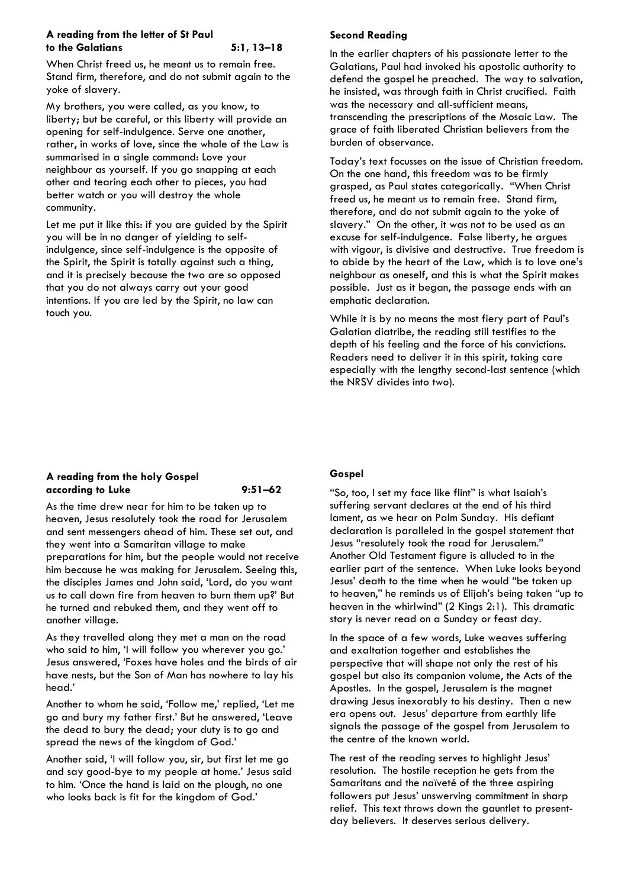#### **A reading from the letter of St Paul to the Galatians 5:1, 13–18**

When Christ freed us, he meant us to remain free. Stand firm, therefore, and do not submit again to the yoke of slavery.

My brothers, you were called, as you know, to liberty; but be careful, or this liberty will provide an opening for self-indulgence. Serve one another, rather, in works of love, since the whole of the Law is summarised in a single command: Love your neighbour as yourself. If you go snapping at each other and tearing each other to pieces, you had better watch or you will destroy the whole community.

Let me put it like this: if you are guided by the Spirit you will be in no danger of yielding to selfindulgence, since self-indulgence is the opposite of the Spirit, the Spirit is totally against such a thing, and it is precisely because the two are so opposed that you do not always carry out your good intentions. If you are led by the Spirit, no law can touch you.

### **Second Reading**

In the earlier chapters of his passionate letter to the Galatians, Paul had invoked his apostolic authority to defend the gospel he preached. The way to salvation, he insisted, was through faith in Christ crucified. Faith was the necessary and all-sufficient means, transcending the prescriptions of the Mosaic Law. The grace of faith liberated Christian believers from the burden of observance.

Today's text focusses on the issue of Christian freedom. On the one hand, this freedom was to be firmly grasped, as Paul states categorically. "When Christ freed us, he meant us to remain free. Stand firm, therefore, and do not submit again to the yoke of slavery." On the other, it was not to be used as an excuse for self-indulgence. False liberty, he argues with vigour, is divisive and destructive. True freedom is to abide by the heart of the Law, which is to love one's neighbour as oneself, and this is what the Spirit makes possible. Just as it began, the passage ends with an emphatic declaration.

While it is by no means the most fiery part of Paul's Galatian diatribe, the reading still testifies to the depth of his feeling and the force of his convictions. Readers need to deliver it in this spirit, taking care especially with the lengthy second-last sentence (which the NRSV divides into two).

#### **A reading from the holy Gospel according to Luke 9:51–62**

As the time drew near for him to be taken up to heaven, Jesus resolutely took the road for Jerusalem and sent messengers ahead of him. These set out, and they went into a Samaritan village to make preparations for him, but the people would not receive him because he was making for Jerusalem. Seeing this, the disciples James and John said, 'Lord, do you want us to call down fire from heaven to burn them up?' But he turned and rebuked them, and they went off to another village.

As they travelled along they met a man on the road who said to him, 'I will follow you wherever you go.' Jesus answered, 'Foxes have holes and the birds of air have nests, but the Son of Man has nowhere to lay his head.'

Another to whom he said, 'Follow me,' replied, 'Let me go and bury my father first.' But he answered, 'Leave the dead to bury the dead; your duty is to go and spread the news of the kingdom of God.'

Another said, 'I will follow you, sir, but first let me go and say good-bye to my people at home.' Jesus said to him. 'Once the hand is laid on the plough, no one who looks back is fit for the kingdom of God.'

#### **Gospel**

"So, too, I set my face like flint" is what Isaiah's suffering servant declares at the end of his third lament, as we hear on Palm Sunday. His defiant declaration is paralleled in the gospel statement that Jesus "resolutely took the road for Jerusalem." Another Old Testament figure is alluded to in the earlier part of the sentence. When Luke looks beyond Jesus' death to the time when he would "be taken up to heaven," he reminds us of Elijah's being taken "up to heaven in the whirlwind" (2 Kings 2:1). This dramatic story is never read on a Sunday or feast day.

In the space of a few words, Luke weaves suffering and exaltation together and establishes the perspective that will shape not only the rest of his gospel but also its companion volume, the Acts of the Apostles. In the gospel, Jerusalem is the magnet drawing Jesus inexorably to his destiny. Then a new era opens out. Jesus' departure from earthly life signals the passage of the gospel from Jerusalem to the centre of the known world.

The rest of the reading serves to highlight Jesus' resolution. The hostile reception he gets from the Samaritans and the naïveté of the three aspiring followers put Jesus' unswerving commitment in sharp relief. This text throws down the gauntlet to presentday believers. It deserves serious delivery.